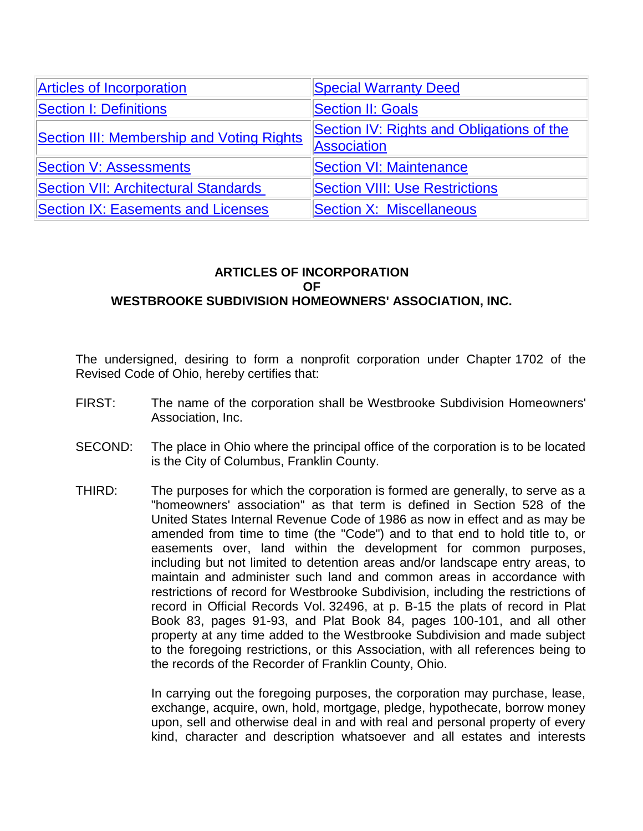<span id="page-0-1"></span>

| <b>Articles of Incorporation</b>            | <b>Special Warranty Deed</b>                                    |
|---------------------------------------------|-----------------------------------------------------------------|
| <b>Section I: Definitions</b>               | <b>Section II: Goals</b>                                        |
| Section III: Membership and Voting Rights   | Section IV: Rights and Obligations of the<br><b>Association</b> |
| <b>Section V: Assessments</b>               | <b>Section VI: Maintenance</b>                                  |
| <b>Section VII: Architectural Standards</b> | <b>Section VIII: Use Restrictions</b>                           |
| <b>Section IX: Easements and Licenses</b>   | <b>Section X: Miscellaneous</b>                                 |

## <span id="page-0-0"></span>**ARTICLES OF INCORPORATION OF WESTBROOKE SUBDIVISION HOMEOWNERS' ASSOCIATION, INC.**

The undersigned, desiring to form a nonprofit corporation under Chapter 1702 of the Revised Code of Ohio, hereby certifies that:

- FIRST: The name of the corporation shall be Westbrooke Subdivision Homeowners' Association, Inc.
- SECOND: The place in Ohio where the principal office of the corporation is to be located is the City of Columbus, Franklin County.
- THIRD: The purposes for which the corporation is formed are generally, to serve as a "homeowners' association" as that term is defined in Section 528 of the United States Internal Revenue Code of 1986 as now in effect and as may be amended from time to time (the "Code") and to that end to hold title to, or easements over, land within the development for common purposes, including but not limited to detention areas and/or landscape entry areas, to maintain and administer such land and common areas in accordance with restrictions of record for Westbrooke Subdivision, including the restrictions of record in Official Records Vol. 32496, at p. B-15 the plats of record in Plat Book 83, pages 91-93, and Plat Book 84, pages 100-101, and all other property at any time added to the Westbrooke Subdivision and made subject to the foregoing restrictions, or this Association, with all references being to the records of the Recorder of Franklin County, Ohio.

In carrying out the foregoing purposes, the corporation may purchase, lease, exchange, acquire, own, hold, mortgage, pledge, hypothecate, borrow money upon, sell and otherwise deal in and with real and personal property of every kind, character and description whatsoever and all estates and interests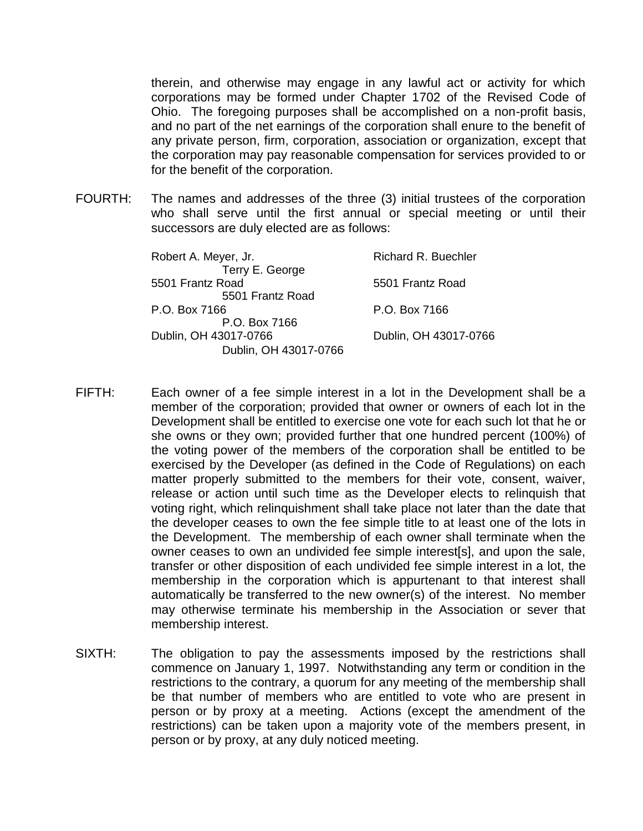therein, and otherwise may engage in any lawful act or activity for which corporations may be formed under Chapter 1702 of the Revised Code of Ohio. The foregoing purposes shall be accomplished on a non-profit basis, and no part of the net earnings of the corporation shall enure to the benefit of any private person, firm, corporation, association or organization, except that the corporation may pay reasonable compensation for services provided to or for the benefit of the corporation.

FOURTH: The names and addresses of the three (3) initial trustees of the corporation who shall serve until the first annual or special meeting or until their successors are duly elected are as follows:

| Robert A. Meyer, Jr.                                    | <b>Richard R. Buechler</b> |
|---------------------------------------------------------|----------------------------|
| Terry E. George<br>5501 Frantz Road<br>5501 Frantz Road | 5501 Frantz Road           |
| P.O. Box 7166                                           | P.O. Box 7166              |
| P.O. Box 7166                                           |                            |
| Dublin, OH 43017-0766                                   | Dublin, OH 43017-0766      |
| Dublin, OH 43017-0766                                   |                            |

- FIFTH: Each owner of a fee simple interest in a lot in the Development shall be a member of the corporation; provided that owner or owners of each lot in the Development shall be entitled to exercise one vote for each such lot that he or she owns or they own; provided further that one hundred percent (100%) of the voting power of the members of the corporation shall be entitled to be exercised by the Developer (as defined in the Code of Regulations) on each matter properly submitted to the members for their vote, consent, waiver, release or action until such time as the Developer elects to relinquish that voting right, which relinquishment shall take place not later than the date that the developer ceases to own the fee simple title to at least one of the lots in the Development. The membership of each owner shall terminate when the owner ceases to own an undivided fee simple interest[s], and upon the sale, transfer or other disposition of each undivided fee simple interest in a lot, the membership in the corporation which is appurtenant to that interest shall automatically be transferred to the new owner(s) of the interest. No member may otherwise terminate his membership in the Association or sever that membership interest.
- SIXTH: The obligation to pay the assessments imposed by the restrictions shall commence on January 1, 1997. Notwithstanding any term or condition in the restrictions to the contrary, a quorum for any meeting of the membership shall be that number of members who are entitled to vote who are present in person or by proxy at a meeting. Actions (except the amendment of the restrictions) can be taken upon a majority vote of the members present, in person or by proxy, at any duly noticed meeting.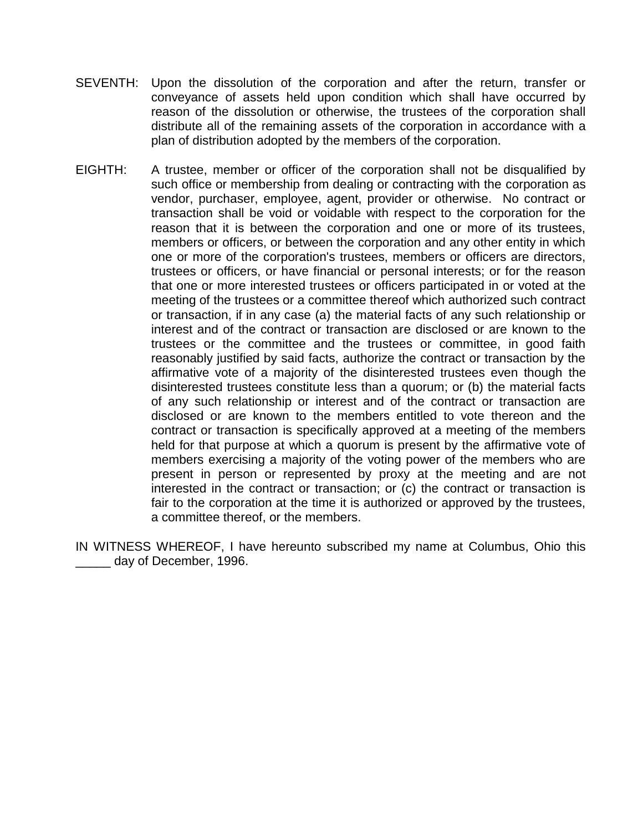- SEVENTH: Upon the dissolution of the corporation and after the return, transfer or conveyance of assets held upon condition which shall have occurred by reason of the dissolution or otherwise, the trustees of the corporation shall distribute all of the remaining assets of the corporation in accordance with a plan of distribution adopted by the members of the corporation.
- EIGHTH: A trustee, member or officer of the corporation shall not be disqualified by such office or membership from dealing or contracting with the corporation as vendor, purchaser, employee, agent, provider or otherwise. No contract or transaction shall be void or voidable with respect to the corporation for the reason that it is between the corporation and one or more of its trustees, members or officers, or between the corporation and any other entity in which one or more of the corporation's trustees, members or officers are directors, trustees or officers, or have financial or personal interests; or for the reason that one or more interested trustees or officers participated in or voted at the meeting of the trustees or a committee thereof which authorized such contract or transaction, if in any case (a) the material facts of any such relationship or interest and of the contract or transaction are disclosed or are known to the trustees or the committee and the trustees or committee, in good faith reasonably justified by said facts, authorize the contract or transaction by the affirmative vote of a majority of the disinterested trustees even though the disinterested trustees constitute less than a quorum; or (b) the material facts of any such relationship or interest and of the contract or transaction are disclosed or are known to the members entitled to vote thereon and the contract or transaction is specifically approved at a meeting of the members held for that purpose at which a quorum is present by the affirmative vote of members exercising a majority of the voting power of the members who are present in person or represented by proxy at the meeting and are not interested in the contract or transaction; or (c) the contract or transaction is fair to the corporation at the time it is authorized or approved by the trustees, a committee thereof, or the members.

IN WITNESS WHEREOF, I have hereunto subscribed my name at Columbus, Ohio this day of December, 1996.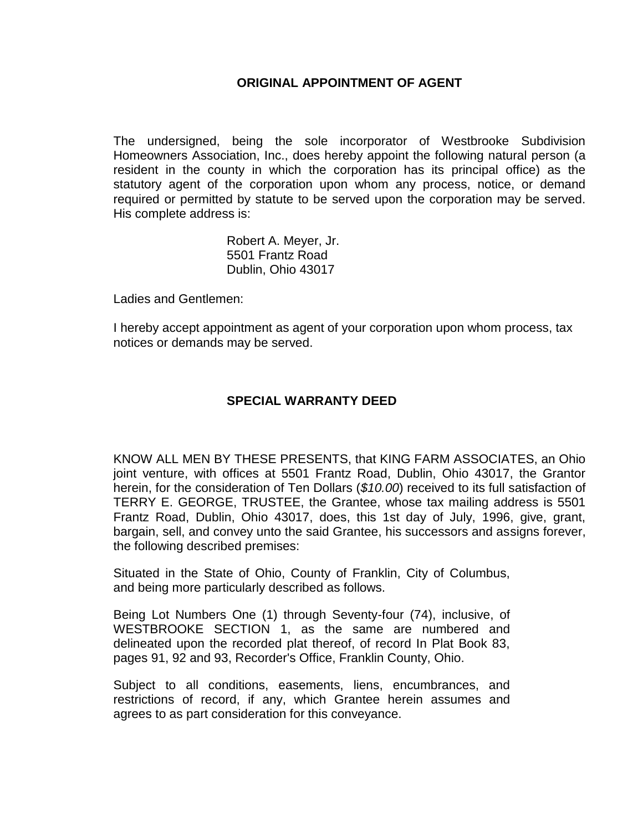#### **ORIGINAL APPOINTMENT OF AGENT**

The undersigned, being the sole incorporator of Westbrooke Subdivision Homeowners Association, Inc., does hereby appoint the following natural person (a resident in the county in which the corporation has its principal office) as the statutory agent of the corporation upon whom any process, notice, or demand required or permitted by statute to be served upon the corporation may be served. His complete address is:

> Robert A. Meyer, Jr. 5501 Frantz Road Dublin, Ohio 43017

Ladies and Gentlemen:

I hereby accept appointment as agent of your corporation upon whom process, tax notices or demands may be served.

#### **SPECIAL WARRANTY DEED**

<span id="page-3-0"></span>KNOW ALL MEN BY THESE PRESENTS, that KING FARM ASSOCIATES, an Ohio joint venture, with offices at 5501 Frantz Road, Dublin, Ohio 43017, the Grantor herein, for the consideration of Ten Dollars (*\$10.00*) received to its full satisfaction of TERRY E. GEORGE, TRUSTEE, the Grantee, whose tax mailing address is 5501 Frantz Road, Dublin, Ohio 43017, does, this 1st day of July, 1996, give, grant, bargain, sell, and convey unto the said Grantee, his successors and assigns forever, the following described premises:

Situated in the State of Ohio, County of Franklin, City of Columbus, and being more particularly described as follows.

Being Lot Numbers One (1) through Seventy-four (74), inclusive, of WESTBROOKE SECTION 1, as the same are numbered and delineated upon the recorded plat thereof, of record In Plat Book 83, pages 91, 92 and 93, Recorder's Office, Franklin County, Ohio.

Subject to all conditions, easements, liens, encumbrances, and restrictions of record, if any, which Grantee herein assumes and agrees to as part consideration for this conveyance.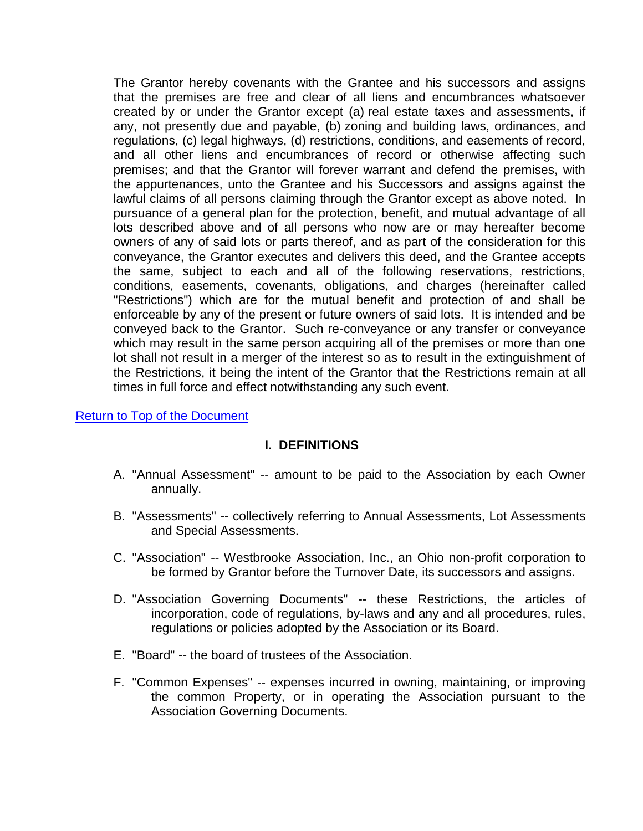The Grantor hereby covenants with the Grantee and his successors and assigns that the premises are free and clear of all liens and encumbrances whatsoever created by or under the Grantor except (a) real estate taxes and assessments, if any, not presently due and payable, (b) zoning and building laws, ordinances, and regulations, (c) legal highways, (d) restrictions, conditions, and easements of record, and all other liens and encumbrances of record or otherwise affecting such premises; and that the Grantor will forever warrant and defend the premises, with the appurtenances, unto the Grantee and his Successors and assigns against the lawful claims of all persons claiming through the Grantor except as above noted. In pursuance of a general plan for the protection, benefit, and mutual advantage of all lots described above and of all persons who now are or may hereafter become owners of any of said lots or parts thereof, and as part of the consideration for this conveyance, the Grantor executes and delivers this deed, and the Grantee accepts the same, subject to each and all of the following reservations, restrictions, conditions, easements, covenants, obligations, and charges (hereinafter called "Restrictions") which are for the mutual benefit and protection of and shall be enforceable by any of the present or future owners of said lots. It is intended and be conveyed back to the Grantor. Such re-conveyance or any transfer or conveyance which may result in the same person acquiring all of the premises or more than one lot shall not result in a merger of the interest so as to result in the extinguishment of the Restrictions, it being the intent of the Grantor that the Restrictions remain at all times in full force and effect notwithstanding any such event.

#### <span id="page-4-0"></span>[Return to Top of the Document](#page-0-1)

#### **I. DEFINITIONS**

- A. "Annual Assessment" -- amount to be paid to the Association by each Owner annually.
- B. "Assessments" -- collectively referring to Annual Assessments, Lot Assessments and Special Assessments.
- C. "Association" -- Westbrooke Association, Inc., an Ohio non-profit corporation to be formed by Grantor before the Turnover Date, its successors and assigns.
- D. "Association Governing Documents" -- these Restrictions, the articles of incorporation, code of regulations, by-laws and any and all procedures, rules, regulations or policies adopted by the Association or its Board.
- E. "Board" -- the board of trustees of the Association.
- F. "Common Expenses" -- expenses incurred in owning, maintaining, or improving the common Property, or in operating the Association pursuant to the Association Governing Documents.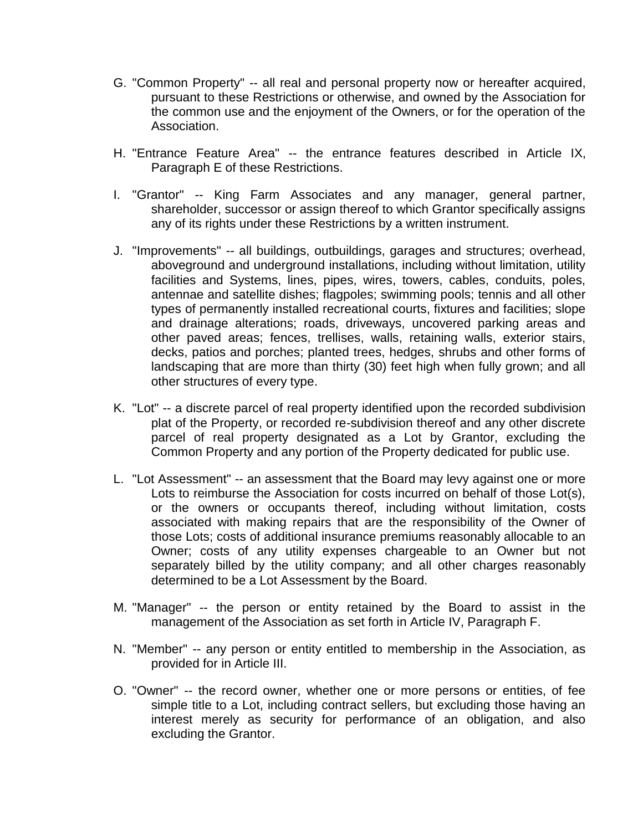- G. "Common Property" -- all real and personal property now or hereafter acquired, pursuant to these Restrictions or otherwise, and owned by the Association for the common use and the enjoyment of the Owners, or for the operation of the Association.
- H. "Entrance Feature Area" -- the entrance features described in Article IX, Paragraph E of these Restrictions.
- I. "Grantor" -- King Farm Associates and any manager, general partner, shareholder, successor or assign thereof to which Grantor specifically assigns any of its rights under these Restrictions by a written instrument.
- J. "Improvements" -- all buildings, outbuildings, garages and structures; overhead, aboveground and underground installations, including without limitation, utility facilities and Systems, lines, pipes, wires, towers, cables, conduits, poles, antennae and satellite dishes; flagpoles; swimming pools; tennis and all other types of permanently installed recreational courts, fixtures and facilities; slope and drainage alterations; roads, driveways, uncovered parking areas and other paved areas; fences, trellises, walls, retaining walls, exterior stairs, decks, patios and porches; planted trees, hedges, shrubs and other forms of landscaping that are more than thirty (30) feet high when fully grown; and all other structures of every type.
- K. "Lot" -- a discrete parcel of real property identified upon the recorded subdivision plat of the Property, or recorded re-subdivision thereof and any other discrete parcel of real property designated as a Lot by Grantor, excluding the Common Property and any portion of the Property dedicated for public use.
- L. "Lot Assessment" -- an assessment that the Board may levy against one or more Lots to reimburse the Association for costs incurred on behalf of those Lot(s), or the owners or occupants thereof, including without limitation, costs associated with making repairs that are the responsibility of the Owner of those Lots; costs of additional insurance premiums reasonably allocable to an Owner; costs of any utility expenses chargeable to an Owner but not separately billed by the utility company; and all other charges reasonably determined to be a Lot Assessment by the Board.
- M. "Manager" -- the person or entity retained by the Board to assist in the management of the Association as set forth in Article IV, Paragraph F.
- N. "Member" -- any person or entity entitled to membership in the Association, as provided for in Article III.
- O. "Owner" -- the record owner, whether one or more persons or entities, of fee simple title to a Lot, including contract sellers, but excluding those having an interest merely as security for performance of an obligation, and also excluding the Grantor.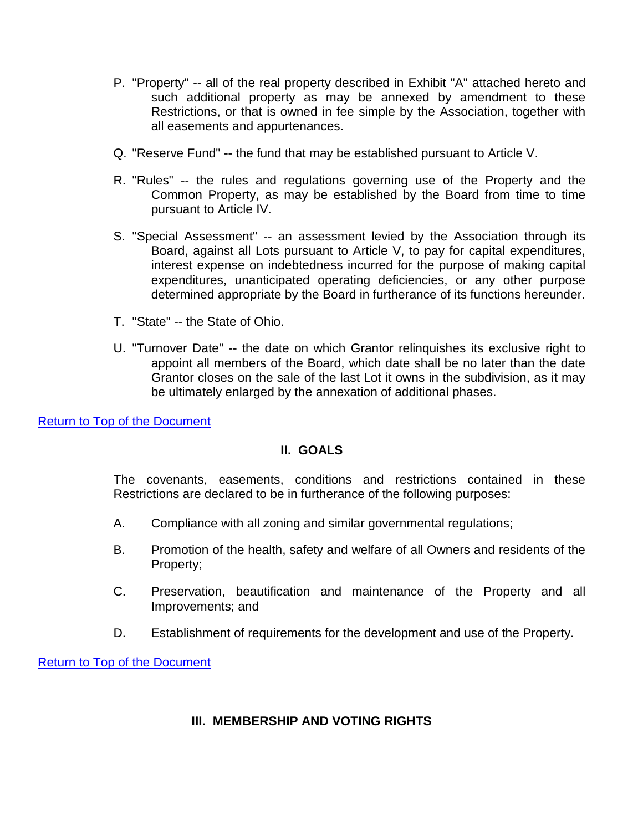- P. "Property" -- all of the real property described in **Exhibit "A"** attached hereto and such additional property as may be annexed by amendment to these Restrictions, or that is owned in fee simple by the Association, together with all easements and appurtenances.
- Q. "Reserve Fund" -- the fund that may be established pursuant to Article V.
- R. "Rules" -- the rules and regulations governing use of the Property and the Common Property, as may be established by the Board from time to time pursuant to Article IV.
- S. "Special Assessment" -- an assessment levied by the Association through its Board, against all Lots pursuant to Article V, to pay for capital expenditures, interest expense on indebtedness incurred for the purpose of making capital expenditures, unanticipated operating deficiencies, or any other purpose determined appropriate by the Board in furtherance of its functions hereunder.
- T. "State" -- the State of Ohio.
- U. "Turnover Date" -- the date on which Grantor relinquishes its exclusive right to appoint all members of the Board, which date shall be no later than the date Grantor closes on the sale of the last Lot it owns in the subdivision, as it may be ultimately enlarged by the annexation of additional phases.

<span id="page-6-0"></span>[Return to Top of the Document](#page-0-1)

## **II. GOALS**

The covenants, easements, conditions and restrictions contained in these Restrictions are declared to be in furtherance of the following purposes:

- A. Compliance with all zoning and similar governmental regulations;
- B. Promotion of the health, safety and welfare of all Owners and residents of the Property;
- C. Preservation, beautification and maintenance of the Property and all Improvements; and
- D. Establishment of requirements for the development and use of the Property.

<span id="page-6-1"></span>[Return to Top of the Document](#page-0-1)

#### **III. MEMBERSHIP AND VOTING RIGHTS**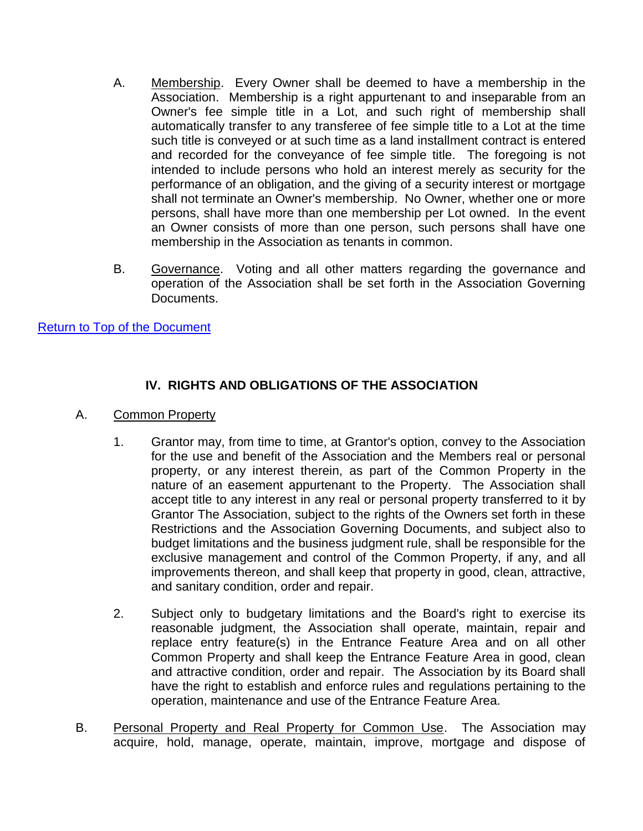- A. Membership. Every Owner shall be deemed to have a membership in the Association. Membership is a right appurtenant to and inseparable from an Owner's fee simple title in a Lot, and such right of membership shall automatically transfer to any transferee of fee simple title to a Lot at the time such title is conveyed or at such time as a land installment contract is entered and recorded for the conveyance of fee simple title. The foregoing is not intended to include persons who hold an interest merely as security for the performance of an obligation, and the giving of a security interest or mortgage shall not terminate an Owner's membership. No Owner, whether one or more persons, shall have more than one membership per Lot owned. In the event an Owner consists of more than one person, such persons shall have one membership in the Association as tenants in common.
- B. Governance. Voting and all other matters regarding the governance and operation of the Association shall be set forth in the Association Governing Documents.

#### [Return to Top of the Document](#page-0-1)

## **IV. RIGHTS AND OBLIGATIONS OF THE ASSOCIATION**

#### <span id="page-7-0"></span>A. Common Property

- 1. Grantor may, from time to time, at Grantor's option, convey to the Association for the use and benefit of the Association and the Members real or personal property, or any interest therein, as part of the Common Property in the nature of an easement appurtenant to the Property. The Association shall accept title to any interest in any real or personal property transferred to it by Grantor The Association, subject to the rights of the Owners set forth in these Restrictions and the Association Governing Documents, and subject also to budget limitations and the business judgment rule, shall be responsible for the exclusive management and control of the Common Property, if any, and all improvements thereon, and shall keep that property in good, clean, attractive, and sanitary condition, order and repair.
- 2. Subject only to budgetary limitations and the Board's right to exercise its reasonable judgment, the Association shall operate, maintain, repair and replace entry feature(s) in the Entrance Feature Area and on all other Common Property and shall keep the Entrance Feature Area in good, clean and attractive condition, order and repair. The Association by its Board shall have the right to establish and enforce rules and regulations pertaining to the operation, maintenance and use of the Entrance Feature Area.
- B. Personal Property and Real Property for Common Use. The Association may acquire, hold, manage, operate, maintain, improve, mortgage and dispose of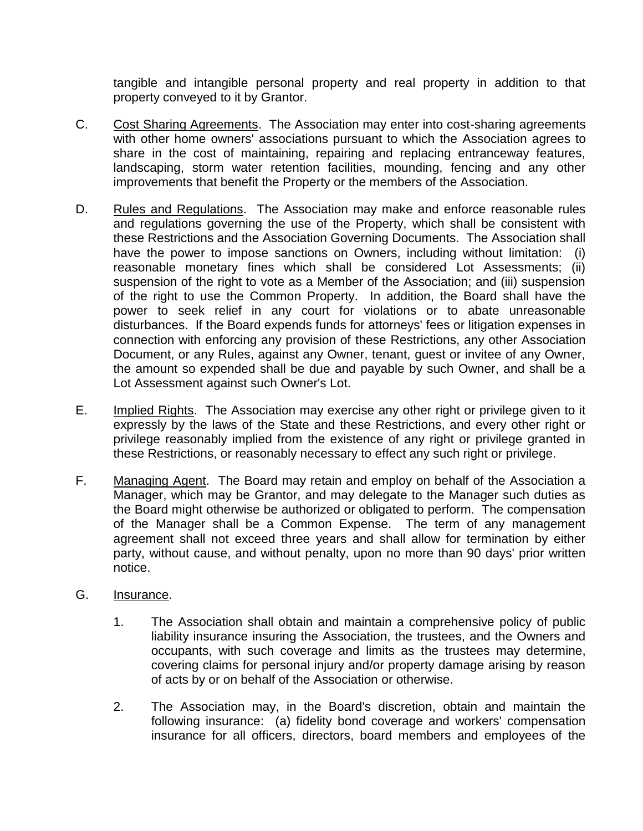tangible and intangible personal property and real property in addition to that property conveyed to it by Grantor.

- C. Cost Sharing Agreements. The Association may enter into cost-sharing agreements with other home owners' associations pursuant to which the Association agrees to share in the cost of maintaining, repairing and replacing entranceway features, landscaping, storm water retention facilities, mounding, fencing and any other improvements that benefit the Property or the members of the Association.
- D. Rules and Regulations. The Association may make and enforce reasonable rules and regulations governing the use of the Property, which shall be consistent with these Restrictions and the Association Governing Documents. The Association shall have the power to impose sanctions on Owners, including without limitation: (i) reasonable monetary fines which shall be considered Lot Assessments; (ii) suspension of the right to vote as a Member of the Association; and (iii) suspension of the right to use the Common Property. In addition, the Board shall have the power to seek relief in any court for violations or to abate unreasonable disturbances. If the Board expends funds for attorneys' fees or litigation expenses in connection with enforcing any provision of these Restrictions, any other Association Document, or any Rules, against any Owner, tenant, guest or invitee of any Owner, the amount so expended shall be due and payable by such Owner, and shall be a Lot Assessment against such Owner's Lot.
- E. Implied Rights. The Association may exercise any other right or privilege given to it expressly by the laws of the State and these Restrictions, and every other right or privilege reasonably implied from the existence of any right or privilege granted in these Restrictions, or reasonably necessary to effect any such right or privilege.
- F. Managing Agent. The Board may retain and employ on behalf of the Association a Manager, which may be Grantor, and may delegate to the Manager such duties as the Board might otherwise be authorized or obligated to perform. The compensation of the Manager shall be a Common Expense. The term of any management agreement shall not exceed three years and shall allow for termination by either party, without cause, and without penalty, upon no more than 90 days' prior written notice.
- G. Insurance.
	- 1. The Association shall obtain and maintain a comprehensive policy of public liability insurance insuring the Association, the trustees, and the Owners and occupants, with such coverage and limits as the trustees may determine, covering claims for personal injury and/or property damage arising by reason of acts by or on behalf of the Association or otherwise.
	- 2. The Association may, in the Board's discretion, obtain and maintain the following insurance: (a) fidelity bond coverage and workers' compensation insurance for all officers, directors, board members and employees of the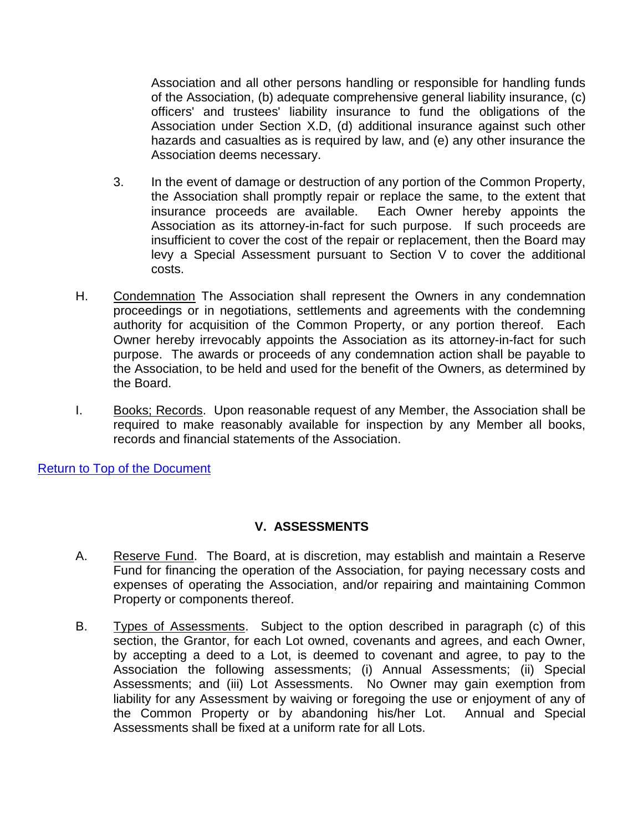Association and all other persons handling or responsible for handling funds of the Association, (b) adequate comprehensive general liability insurance, (c) officers' and trustees' liability insurance to fund the obligations of the Association under Section X.D, (d) additional insurance against such other hazards and casualties as is required by law, and (e) any other insurance the Association deems necessary.

- 3. In the event of damage or destruction of any portion of the Common Property, the Association shall promptly repair or replace the same, to the extent that insurance proceeds are available. Each Owner hereby appoints the Association as its attorney-in-fact for such purpose. If such proceeds are insufficient to cover the cost of the repair or replacement, then the Board may levy a Special Assessment pursuant to Section V to cover the additional costs.
- H. Condemnation The Association shall represent the Owners in any condemnation proceedings or in negotiations, settlements and agreements with the condemning authority for acquisition of the Common Property, or any portion thereof. Each Owner hereby irrevocably appoints the Association as its attorney-in-fact for such purpose. The awards or proceeds of any condemnation action shall be payable to the Association, to be held and used for the benefit of the Owners, as determined by the Board.
- I. Books; Records. Upon reasonable request of any Member, the Association shall be required to make reasonably available for inspection by any Member all books, records and financial statements of the Association.

[Return to Top of the Document](#page-0-1)

## **V. ASSESSMENTS**

- <span id="page-9-0"></span>A. Reserve Fund. The Board, at is discretion, may establish and maintain a Reserve Fund for financing the operation of the Association, for paying necessary costs and expenses of operating the Association, and/or repairing and maintaining Common Property or components thereof.
- B. Types of Assessments. Subject to the option described in paragraph (c) of this section, the Grantor, for each Lot owned, covenants and agrees, and each Owner, by accepting a deed to a Lot, is deemed to covenant and agree, to pay to the Association the following assessments; (i) Annual Assessments; (ii) Special Assessments; and (iii) Lot Assessments. No Owner may gain exemption from liability for any Assessment by waiving or foregoing the use or enjoyment of any of the Common Property or by abandoning his/her Lot. Annual and Special Assessments shall be fixed at a uniform rate for all Lots.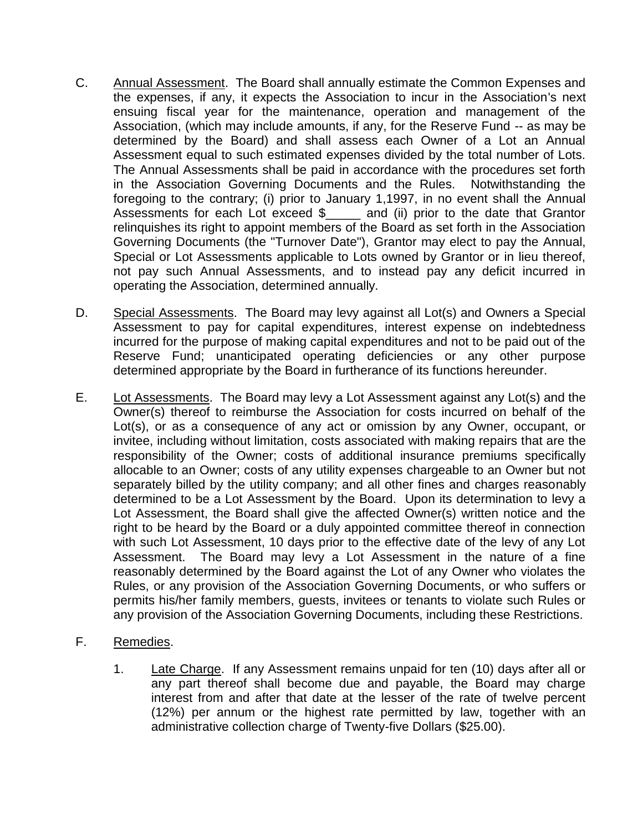- C. Annual Assessment. The Board shall annually estimate the Common Expenses and the expenses, if any, it expects the Association to incur in the Association's next ensuing fiscal year for the maintenance, operation and management of the Association, (which may include amounts, if any, for the Reserve Fund -- as may be determined by the Board) and shall assess each Owner of a Lot an Annual Assessment equal to such estimated expenses divided by the total number of Lots. The Annual Assessments shall be paid in accordance with the procedures set forth in the Association Governing Documents and the Rules. Notwithstanding the foregoing to the contrary; (i) prior to January 1,1997, in no event shall the Annual Assessments for each Lot exceed \$\_\_\_\_\_ and (ii) prior to the date that Grantor relinquishes its right to appoint members of the Board as set forth in the Association Governing Documents (the "Turnover Date"), Grantor may elect to pay the Annual, Special or Lot Assessments applicable to Lots owned by Grantor or in lieu thereof, not pay such Annual Assessments, and to instead pay any deficit incurred in operating the Association, determined annually.
- D. Special Assessments. The Board may levy against all Lot(s) and Owners a Special Assessment to pay for capital expenditures, interest expense on indebtedness incurred for the purpose of making capital expenditures and not to be paid out of the Reserve Fund; unanticipated operating deficiencies or any other purpose determined appropriate by the Board in furtherance of its functions hereunder.
- E. Lot Assessments. The Board may levy a Lot Assessment against any Lot(s) and the Owner(s) thereof to reimburse the Association for costs incurred on behalf of the Lot(s), or as a consequence of any act or omission by any Owner, occupant, or invitee, including without limitation, costs associated with making repairs that are the responsibility of the Owner; costs of additional insurance premiums specifically allocable to an Owner; costs of any utility expenses chargeable to an Owner but not separately billed by the utility company; and all other fines and charges reasonably determined to be a Lot Assessment by the Board. Upon its determination to levy a Lot Assessment, the Board shall give the affected Owner(s) written notice and the right to be heard by the Board or a duly appointed committee thereof in connection with such Lot Assessment, 10 days prior to the effective date of the levy of any Lot Assessment. The Board may levy a Lot Assessment in the nature of a fine reasonably determined by the Board against the Lot of any Owner who violates the Rules, or any provision of the Association Governing Documents, or who suffers or permits his/her family members, guests, invitees or tenants to violate such Rules or any provision of the Association Governing Documents, including these Restrictions.
- F. Remedies.
	- 1. Late Charge. If any Assessment remains unpaid for ten (10) days after all or any part thereof shall become due and payable, the Board may charge interest from and after that date at the lesser of the rate of twelve percent (12%) per annum or the highest rate permitted by law, together with an administrative collection charge of Twenty-five Dollars (\$25.00).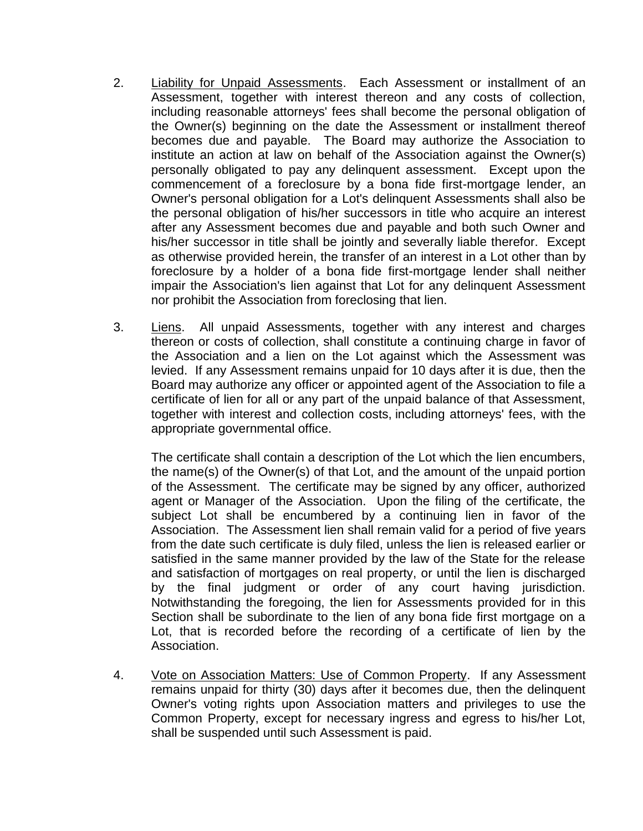- 2. Liability for Unpaid Assessments. Each Assessment or installment of an Assessment, together with interest thereon and any costs of collection, including reasonable attorneys' fees shall become the personal obligation of the Owner(s) beginning on the date the Assessment or installment thereof becomes due and payable. The Board may authorize the Association to institute an action at law on behalf of the Association against the Owner(s) personally obligated to pay any delinquent assessment. Except upon the commencement of a foreclosure by a bona fide first-mortgage lender, an Owner's personal obligation for a Lot's delinquent Assessments shall also be the personal obligation of his/her successors in title who acquire an interest after any Assessment becomes due and payable and both such Owner and his/her successor in title shall be jointly and severally liable therefor. Except as otherwise provided herein, the transfer of an interest in a Lot other than by foreclosure by a holder of a bona fide first-mortgage lender shall neither impair the Association's lien against that Lot for any delinquent Assessment nor prohibit the Association from foreclosing that lien.
- 3. Liens. All unpaid Assessments, together with any interest and charges thereon or costs of collection, shall constitute a continuing charge in favor of the Association and a lien on the Lot against which the Assessment was levied. If any Assessment remains unpaid for 10 days after it is due, then the Board may authorize any officer or appointed agent of the Association to file a certificate of lien for all or any part of the unpaid balance of that Assessment, together with interest and collection costs, including attorneys' fees, with the appropriate governmental office.

The certificate shall contain a description of the Lot which the lien encumbers, the name(s) of the Owner(s) of that Lot, and the amount of the unpaid portion of the Assessment. The certificate may be signed by any officer, authorized agent or Manager of the Association. Upon the filing of the certificate, the subject Lot shall be encumbered by a continuing lien in favor of the Association. The Assessment lien shall remain valid for a period of five years from the date such certificate is duly filed, unless the lien is released earlier or satisfied in the same manner provided by the law of the State for the release and satisfaction of mortgages on real property, or until the lien is discharged by the final judgment or order of any court having jurisdiction. Notwithstanding the foregoing, the lien for Assessments provided for in this Section shall be subordinate to the lien of any bona fide first mortgage on a Lot, that is recorded before the recording of a certificate of lien by the Association.

4. Vote on Association Matters: Use of Common Property. If any Assessment remains unpaid for thirty (30) days after it becomes due, then the delinquent Owner's voting rights upon Association matters and privileges to use the Common Property, except for necessary ingress and egress to his/her Lot, shall be suspended until such Assessment is paid.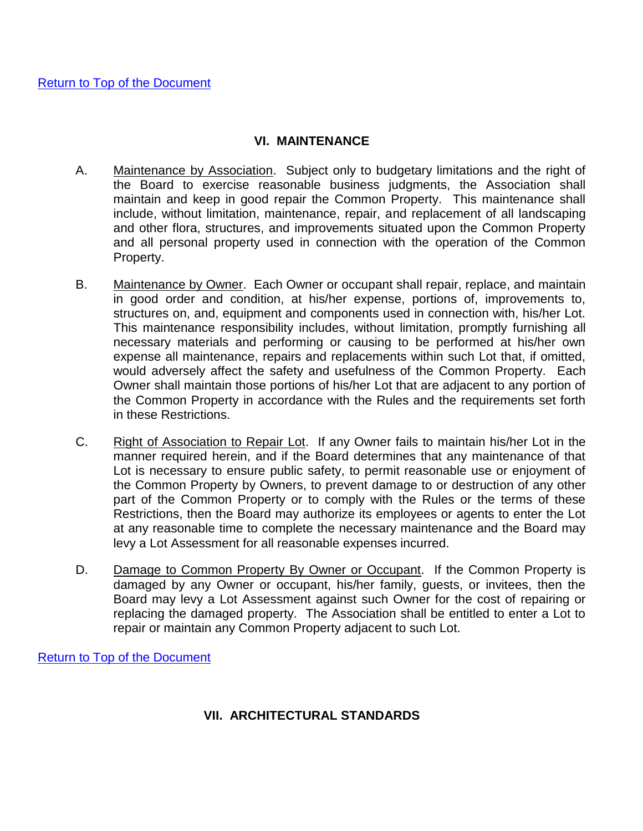#### **VI. MAINTENANCE**

- <span id="page-12-0"></span>A. Maintenance by Association. Subject only to budgetary limitations and the right of the Board to exercise reasonable business judgments, the Association shall maintain and keep in good repair the Common Property. This maintenance shall include, without limitation, maintenance, repair, and replacement of all landscaping and other flora, structures, and improvements situated upon the Common Property and all personal property used in connection with the operation of the Common Property.
- B. Maintenance by Owner. Each Owner or occupant shall repair, replace, and maintain in good order and condition, at his/her expense, portions of, improvements to, structures on, and, equipment and components used in connection with, his/her Lot. This maintenance responsibility includes, without limitation, promptly furnishing all necessary materials and performing or causing to be performed at his/her own expense all maintenance, repairs and replacements within such Lot that, if omitted, would adversely affect the safety and usefulness of the Common Property. Each Owner shall maintain those portions of his/her Lot that are adjacent to any portion of the Common Property in accordance with the Rules and the requirements set forth in these Restrictions.
- C. Right of Association to Repair Lot. If any Owner fails to maintain his/her Lot in the manner required herein, and if the Board determines that any maintenance of that Lot is necessary to ensure public safety, to permit reasonable use or enjoyment of the Common Property by Owners, to prevent damage to or destruction of any other part of the Common Property or to comply with the Rules or the terms of these Restrictions, then the Board may authorize its employees or agents to enter the Lot at any reasonable time to complete the necessary maintenance and the Board may levy a Lot Assessment for all reasonable expenses incurred.
- D. Damage to Common Property By Owner or Occupant. If the Common Property is damaged by any Owner or occupant, his/her family, guests, or invitees, then the Board may levy a Lot Assessment against such Owner for the cost of repairing or replacing the damaged property. The Association shall be entitled to enter a Lot to repair or maintain any Common Property adjacent to such Lot.

<span id="page-12-1"></span>[Return to Top of the Document](#page-0-1)

## **VII. ARCHITECTURAL STANDARDS**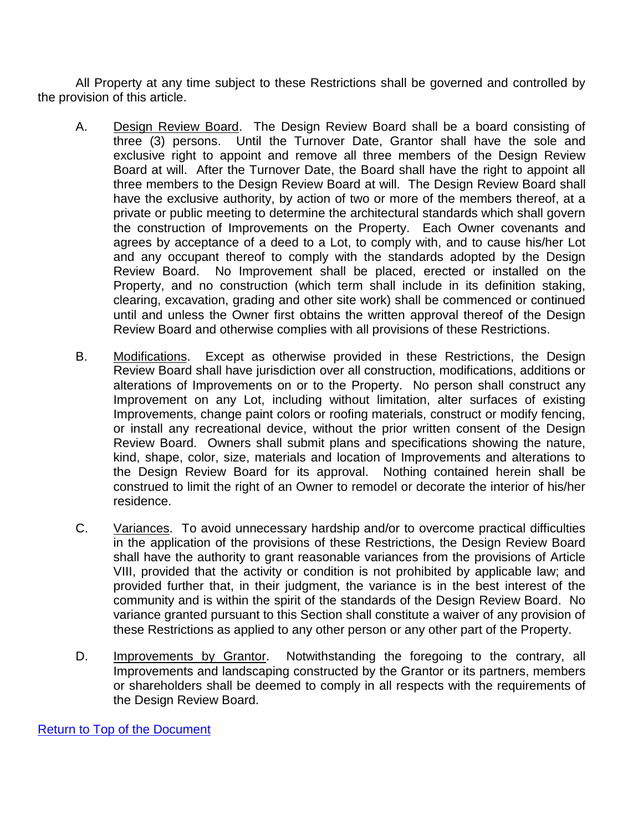All Property at any time subject to these Restrictions shall be governed and controlled by the provision of this article.

- A. Design Review Board. The Design Review Board shall be a board consisting of three (3) persons. Until the Turnover Date, Grantor shall have the sole and exclusive right to appoint and remove all three members of the Design Review Board at will. After the Turnover Date, the Board shall have the right to appoint all three members to the Design Review Board at will. The Design Review Board shall have the exclusive authority, by action of two or more of the members thereof, at a private or public meeting to determine the architectural standards which shall govern the construction of Improvements on the Property. Each Owner covenants and agrees by acceptance of a deed to a Lot, to comply with, and to cause his/her Lot and any occupant thereof to comply with the standards adopted by the Design Review Board. No Improvement shall be placed, erected or installed on the Property, and no construction (which term shall include in its definition staking, clearing, excavation, grading and other site work) shall be commenced or continued until and unless the Owner first obtains the written approval thereof of the Design Review Board and otherwise complies with all provisions of these Restrictions.
- B. Modifications. Except as otherwise provided in these Restrictions, the Design Review Board shall have jurisdiction over all construction, modifications, additions or alterations of Improvements on or to the Property. No person shall construct any Improvement on any Lot, including without limitation, alter surfaces of existing Improvements, change paint colors or roofing materials, construct or modify fencing, or install any recreational device, without the prior written consent of the Design Review Board. Owners shall submit plans and specifications showing the nature, kind, shape, color, size, materials and location of Improvements and alterations to the Design Review Board for its approval. Nothing contained herein shall be construed to limit the right of an Owner to remodel or decorate the interior of his/her residence.
- C. Variances. To avoid unnecessary hardship and/or to overcome practical difficulties in the application of the provisions of these Restrictions, the Design Review Board shall have the authority to grant reasonable variances from the provisions of Article VIII, provided that the activity or condition is not prohibited by applicable law; and provided further that, in their judgment, the variance is in the best interest of the community and is within the spirit of the standards of the Design Review Board. No variance granted pursuant to this Section shall constitute a waiver of any provision of these Restrictions as applied to any other person or any other part of the Property.
- D. Improvements by Grantor. Notwithstanding the foregoing to the contrary, all Improvements and landscaping constructed by the Grantor or its partners, members or shareholders shall be deemed to comply in all respects with the requirements of the Design Review Board.

[Return to Top of the Document](#page-0-1)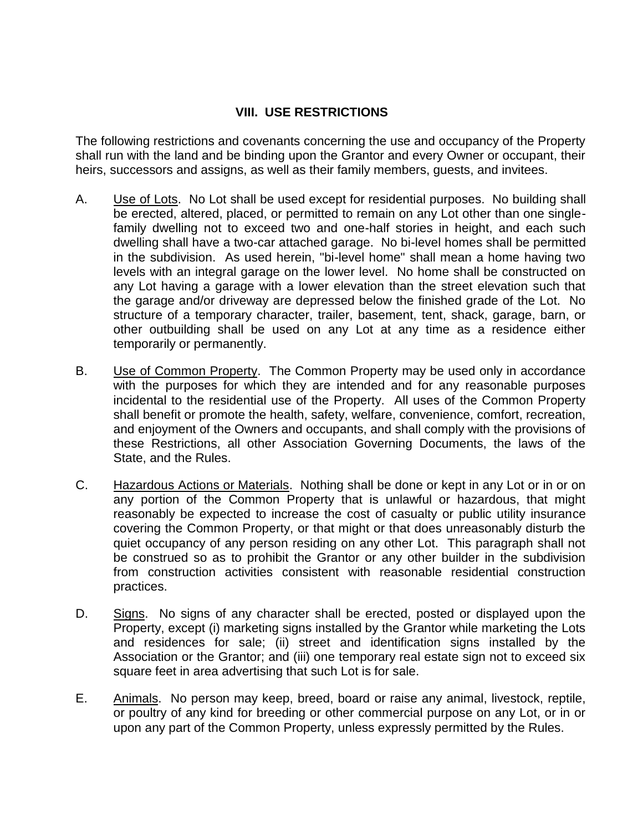### **VIII. USE RESTRICTIONS**

The following restrictions and covenants concerning the use and occupancy of the Property shall run with the land and be binding upon the Grantor and every Owner or occupant, their heirs, successors and assigns, as well as their family members, guests, and invitees.

- A. Use of Lots. No Lot shall be used except for residential purposes. No building shall be erected, altered, placed, or permitted to remain on any Lot other than one singlefamily dwelling not to exceed two and one-half stories in height, and each such dwelling shall have a two-car attached garage. No bi-level homes shall be permitted in the subdivision. As used herein, "bi-level home" shall mean a home having two levels with an integral garage on the lower level. No home shall be constructed on any Lot having a garage with a lower elevation than the street elevation such that the garage and/or driveway are depressed below the finished grade of the Lot. No structure of a temporary character, trailer, basement, tent, shack, garage, barn, or other outbuilding shall be used on any Lot at any time as a residence either temporarily or permanently.
- B. Use of Common Property. The Common Property may be used only in accordance with the purposes for which they are intended and for any reasonable purposes incidental to the residential use of the Property. All uses of the Common Property shall benefit or promote the health, safety, welfare, convenience, comfort, recreation, and enjoyment of the Owners and occupants, and shall comply with the provisions of these Restrictions, all other Association Governing Documents, the laws of the State, and the Rules.
- C. Hazardous Actions or Materials. Nothing shall be done or kept in any Lot or in or on any portion of the Common Property that is unlawful or hazardous, that might reasonably be expected to increase the cost of casualty or public utility insurance covering the Common Property, or that might or that does unreasonably disturb the quiet occupancy of any person residing on any other Lot. This paragraph shall not be construed so as to prohibit the Grantor or any other builder in the subdivision from construction activities consistent with reasonable residential construction practices.
- D. Signs. No signs of any character shall be erected, posted or displayed upon the Property, except (i) marketing signs installed by the Grantor while marketing the Lots and residences for sale; (ii) street and identification signs installed by the Association or the Grantor; and (iii) one temporary real estate sign not to exceed six square feet in area advertising that such Lot is for sale.
- E. Animals. No person may keep, breed, board or raise any animal, livestock, reptile, or poultry of any kind for breeding or other commercial purpose on any Lot, or in or upon any part of the Common Property, unless expressly permitted by the Rules.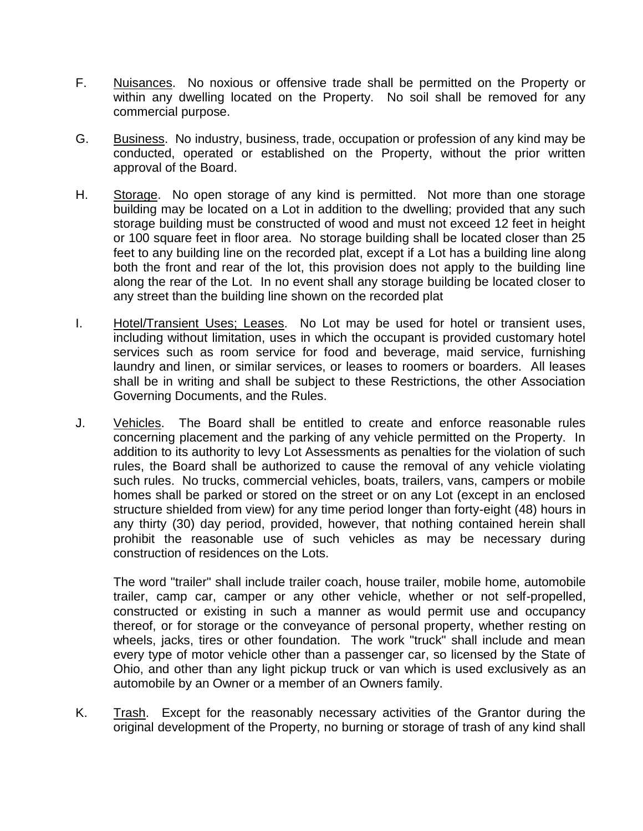- F. Nuisances. No noxious or offensive trade shall be permitted on the Property or within any dwelling located on the Property. No soil shall be removed for any commercial purpose.
- G. Business. No industry, business, trade, occupation or profession of any kind may be conducted, operated or established on the Property, without the prior written approval of the Board.
- H. Storage. No open storage of any kind is permitted. Not more than one storage building may be located on a Lot in addition to the dwelling; provided that any such storage building must be constructed of wood and must not exceed 12 feet in height or 100 square feet in floor area. No storage building shall be located closer than 25 feet to any building line on the recorded plat, except if a Lot has a building line along both the front and rear of the lot, this provision does not apply to the building line along the rear of the Lot. In no event shall any storage building be located closer to any street than the building line shown on the recorded plat
- I. Hotel/Transient Uses; Leases. No Lot may be used for hotel or transient uses, including without limitation, uses in which the occupant is provided customary hotel services such as room service for food and beverage, maid service, furnishing laundry and linen, or similar services, or leases to roomers or boarders. All leases shall be in writing and shall be subject to these Restrictions, the other Association Governing Documents, and the Rules.
- J. Vehicles. The Board shall be entitled to create and enforce reasonable rules concerning placement and the parking of any vehicle permitted on the Property. In addition to its authority to levy Lot Assessments as penalties for the violation of such rules, the Board shall be authorized to cause the removal of any vehicle violating such rules. No trucks, commercial vehicles, boats, trailers, vans, campers or mobile homes shall be parked or stored on the street or on any Lot (except in an enclosed structure shielded from view) for any time period longer than forty-eight (48) hours in any thirty (30) day period, provided, however, that nothing contained herein shall prohibit the reasonable use of such vehicles as may be necessary during construction of residences on the Lots.

The word "trailer" shall include trailer coach, house trailer, mobile home, automobile trailer, camp car, camper or any other vehicle, whether or not self-propelled, constructed or existing in such a manner as would permit use and occupancy thereof, or for storage or the conveyance of personal property, whether resting on wheels, jacks, tires or other foundation. The work "truck" shall include and mean every type of motor vehicle other than a passenger car, so licensed by the State of Ohio, and other than any light pickup truck or van which is used exclusively as an automobile by an Owner or a member of an Owners family.

K. Trash. Except for the reasonably necessary activities of the Grantor during the original development of the Property, no burning or storage of trash of any kind shall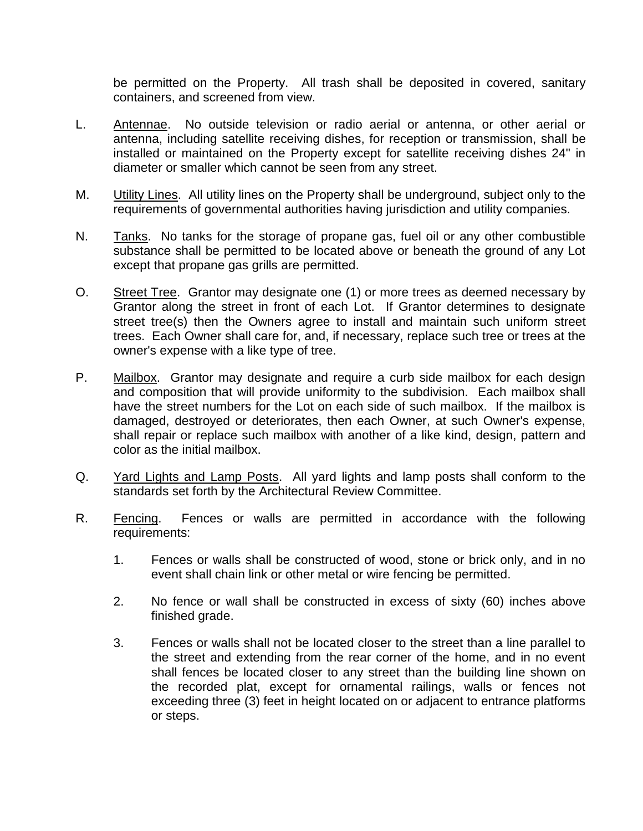be permitted on the Property. All trash shall be deposited in covered, sanitary containers, and screened from view.

- L. Antennae. No outside television or radio aerial or antenna, or other aerial or antenna, including satellite receiving dishes, for reception or transmission, shall be installed or maintained on the Property except for satellite receiving dishes 24" in diameter or smaller which cannot be seen from any street.
- M. **Utility Lines.** All utility lines on the Property shall be underground, subject only to the requirements of governmental authorities having jurisdiction and utility companies.
- N. Tanks. No tanks for the storage of propane gas, fuel oil or any other combustible substance shall be permitted to be located above or beneath the ground of any Lot except that propane gas grills are permitted.
- O. Street Tree. Grantor may designate one (1) or more trees as deemed necessary by Grantor along the street in front of each Lot. If Grantor determines to designate street tree(s) then the Owners agree to install and maintain such uniform street trees. Each Owner shall care for, and, if necessary, replace such tree or trees at the owner's expense with a like type of tree.
- P. Mailbox. Grantor may designate and require a curb side mailbox for each design and composition that will provide uniformity to the subdivision. Each mailbox shall have the street numbers for the Lot on each side of such mailbox. If the mailbox is damaged, destroyed or deteriorates, then each Owner, at such Owner's expense, shall repair or replace such mailbox with another of a like kind, design, pattern and color as the initial mailbox.
- Q. Yard Lights and Lamp Posts. All yard lights and lamp posts shall conform to the standards set forth by the Architectural Review Committee.
- R. Fencing. Fences or walls are permitted in accordance with the following requirements:
	- 1. Fences or walls shall be constructed of wood, stone or brick only, and in no event shall chain link or other metal or wire fencing be permitted.
	- 2. No fence or wall shall be constructed in excess of sixty (60) inches above finished grade.
	- 3. Fences or walls shall not be located closer to the street than a line parallel to the street and extending from the rear corner of the home, and in no event shall fences be located closer to any street than the building line shown on the recorded plat, except for ornamental railings, walls or fences not exceeding three (3) feet in height located on or adjacent to entrance platforms or steps.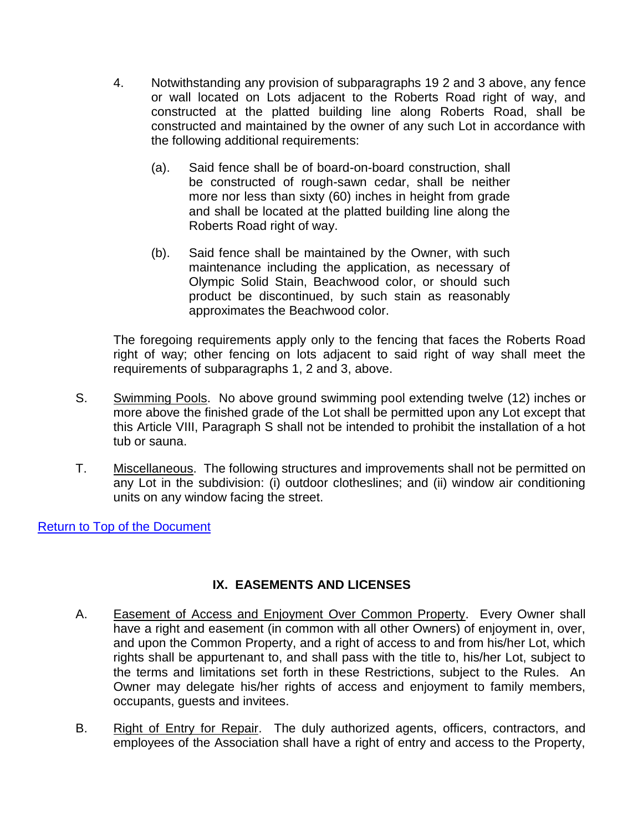- 4. Notwithstanding any provision of subparagraphs 19 2 and 3 above, any fence or wall located on Lots adjacent to the Roberts Road right of way, and constructed at the platted building line along Roberts Road, shall be constructed and maintained by the owner of any such Lot in accordance with the following additional requirements:
	- (a). Said fence shall be of board-on-board construction, shall be constructed of rough-sawn cedar, shall be neither more nor less than sixty (60) inches in height from grade and shall be located at the platted building line along the Roberts Road right of way.
	- (b). Said fence shall be maintained by the Owner, with such maintenance including the application, as necessary of Olympic Solid Stain, Beachwood color, or should such product be discontinued, by such stain as reasonably approximates the Beachwood color.

The foregoing requirements apply only to the fencing that faces the Roberts Road right of way; other fencing on lots adjacent to said right of way shall meet the requirements of subparagraphs 1, 2 and 3, above.

- S. Swimming Pools. No above ground swimming pool extending twelve (12) inches or more above the finished grade of the Lot shall be permitted upon any Lot except that this Article VIII, Paragraph S shall not be intended to prohibit the installation of a hot tub or sauna.
- T. Miscellaneous. The following structures and improvements shall not be permitted on any Lot in the subdivision: (i) outdoor clotheslines; and (ii) window air conditioning units on any window facing the street.

[Return to Top of the Document](#page-0-1)

# **IX. EASEMENTS AND LICENSES**

- <span id="page-17-0"></span>A. Easement of Access and Enjoyment Over Common Property. Every Owner shall have a right and easement (in common with all other Owners) of enjoyment in, over, and upon the Common Property, and a right of access to and from his/her Lot, which rights shall be appurtenant to, and shall pass with the title to, his/her Lot, subject to the terms and limitations set forth in these Restrictions, subject to the Rules. An Owner may delegate his/her rights of access and enjoyment to family members, occupants, guests and invitees.
- B. Right of Entry for Repair. The duly authorized agents, officers, contractors, and employees of the Association shall have a right of entry and access to the Property,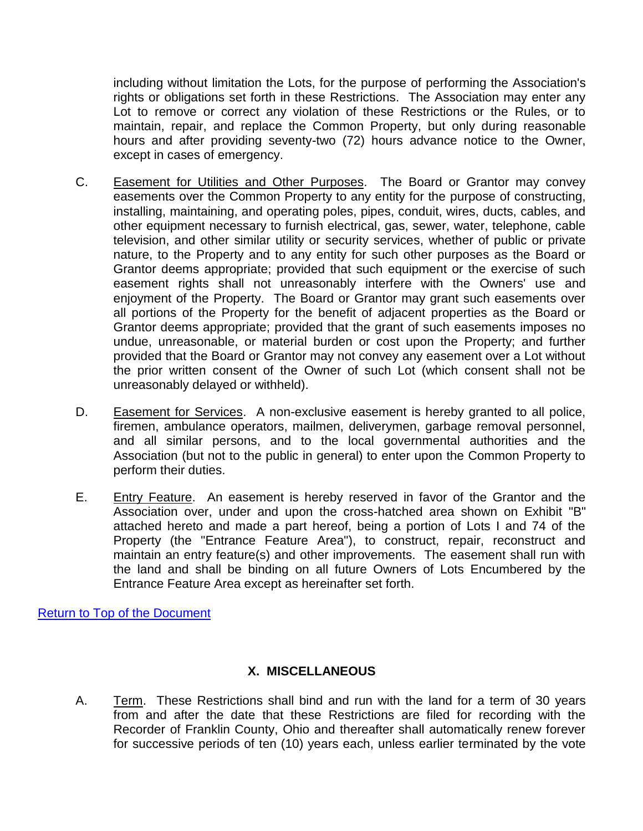including without limitation the Lots, for the purpose of performing the Association's rights or obligations set forth in these Restrictions. The Association may enter any Lot to remove or correct any violation of these Restrictions or the Rules, or to maintain, repair, and replace the Common Property, but only during reasonable hours and after providing seventy-two (72) hours advance notice to the Owner, except in cases of emergency.

- C. Easement for Utilities and Other Purposes. The Board or Grantor may convey easements over the Common Property to any entity for the purpose of constructing, installing, maintaining, and operating poles, pipes, conduit, wires, ducts, cables, and other equipment necessary to furnish electrical, gas, sewer, water, telephone, cable television, and other similar utility or security services, whether of public or private nature, to the Property and to any entity for such other purposes as the Board or Grantor deems appropriate; provided that such equipment or the exercise of such easement rights shall not unreasonably interfere with the Owners' use and enjoyment of the Property. The Board or Grantor may grant such easements over all portions of the Property for the benefit of adjacent properties as the Board or Grantor deems appropriate; provided that the grant of such easements imposes no undue, unreasonable, or material burden or cost upon the Property; and further provided that the Board or Grantor may not convey any easement over a Lot without the prior written consent of the Owner of such Lot (which consent shall not be unreasonably delayed or withheld).
- D. Easement for Services. A non-exclusive easement is hereby granted to all police, firemen, ambulance operators, mailmen, deliverymen, garbage removal personnel, and all similar persons, and to the local governmental authorities and the Association (but not to the public in general) to enter upon the Common Property to perform their duties.
- E. Entry Feature. An easement is hereby reserved in favor of the Grantor and the Association over, under and upon the cross-hatched area shown on Exhibit "B" attached hereto and made a part hereof, being a portion of Lots I and 74 of the Property (the "Entrance Feature Area"), to construct, repair, reconstruct and maintain an entry feature(s) and other improvements. The easement shall run with the land and shall be binding on all future Owners of Lots Encumbered by the Entrance Feature Area except as hereinafter set forth.

[Return to Top of the Document](#page-0-1)

## **X. MISCELLANEOUS**

<span id="page-18-0"></span>A. Term. These Restrictions shall bind and run with the land for a term of 30 years from and after the date that these Restrictions are filed for recording with the Recorder of Franklin County, Ohio and thereafter shall automatically renew forever for successive periods of ten (10) years each, unless earlier terminated by the vote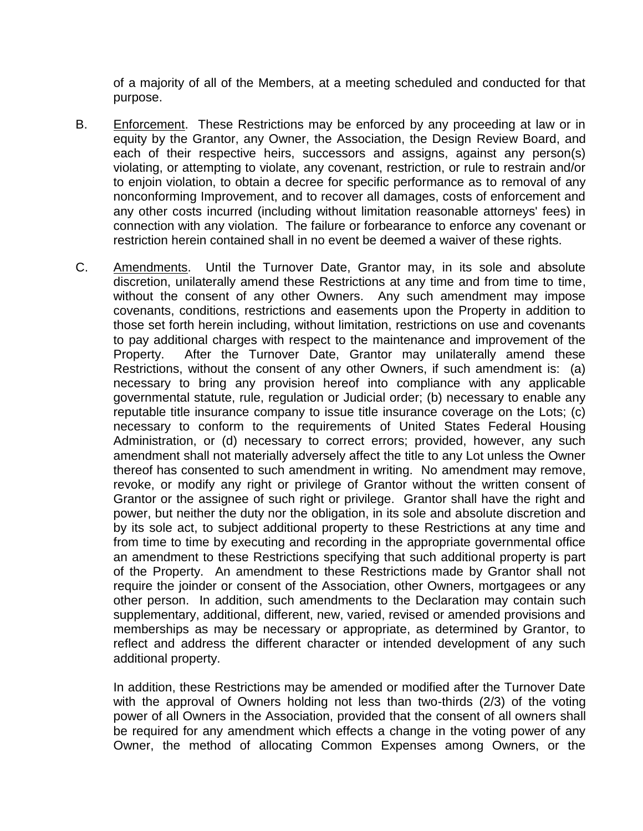of a majority of all of the Members, at a meeting scheduled and conducted for that purpose.

- B. Enforcement. These Restrictions may be enforced by any proceeding at law or in equity by the Grantor, any Owner, the Association, the Design Review Board, and each of their respective heirs, successors and assigns, against any person(s) violating, or attempting to violate, any covenant, restriction, or rule to restrain and/or to enjoin violation, to obtain a decree for specific performance as to removal of any nonconforming Improvement, and to recover all damages, costs of enforcement and any other costs incurred (including without limitation reasonable attorneys' fees) in connection with any violation. The failure or forbearance to enforce any covenant or restriction herein contained shall in no event be deemed a waiver of these rights.
- C. Amendments. Until the Turnover Date, Grantor may, in its sole and absolute discretion, unilaterally amend these Restrictions at any time and from time to time, without the consent of any other Owners. Any such amendment may impose covenants, conditions, restrictions and easements upon the Property in addition to those set forth herein including, without limitation, restrictions on use and covenants to pay additional charges with respect to the maintenance and improvement of the Property. After the Turnover Date, Grantor may unilaterally amend these Restrictions, without the consent of any other Owners, if such amendment is: (a) necessary to bring any provision hereof into compliance with any applicable governmental statute, rule, regulation or Judicial order; (b) necessary to enable any reputable title insurance company to issue title insurance coverage on the Lots; (c) necessary to conform to the requirements of United States Federal Housing Administration, or (d) necessary to correct errors; provided, however, any such amendment shall not materially adversely affect the title to any Lot unless the Owner thereof has consented to such amendment in writing. No amendment may remove, revoke, or modify any right or privilege of Grantor without the written consent of Grantor or the assignee of such right or privilege. Grantor shall have the right and power, but neither the duty nor the obligation, in its sole and absolute discretion and by its sole act, to subject additional property to these Restrictions at any time and from time to time by executing and recording in the appropriate governmental office an amendment to these Restrictions specifying that such additional property is part of the Property. An amendment to these Restrictions made by Grantor shall not require the joinder or consent of the Association, other Owners, mortgagees or any other person. In addition, such amendments to the Declaration may contain such supplementary, additional, different, new, varied, revised or amended provisions and memberships as may be necessary or appropriate, as determined by Grantor, to reflect and address the different character or intended development of any such additional property.

In addition, these Restrictions may be amended or modified after the Turnover Date with the approval of Owners holding not less than two-thirds (2/3) of the voting power of all Owners in the Association, provided that the consent of all owners shall be required for any amendment which effects a change in the voting power of any Owner, the method of allocating Common Expenses among Owners, or the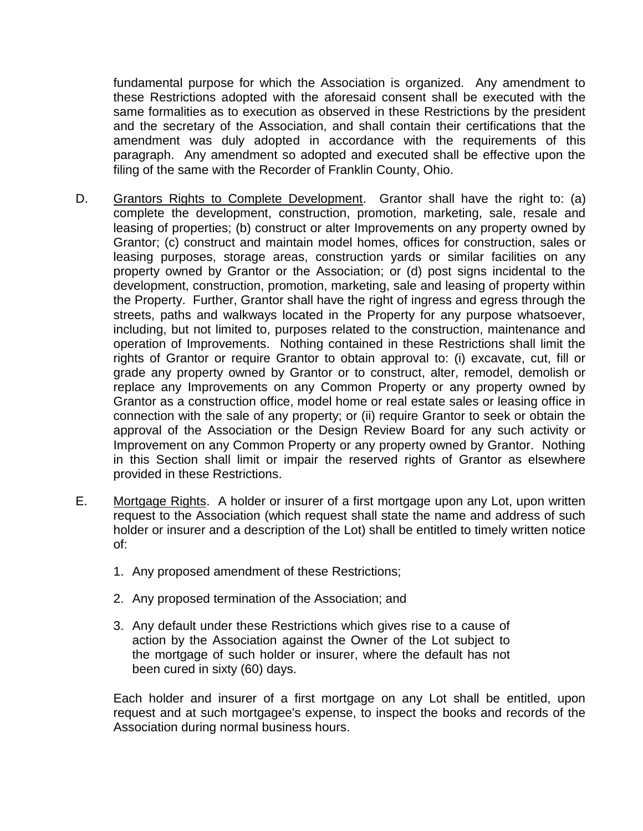fundamental purpose for which the Association is organized. Any amendment to these Restrictions adopted with the aforesaid consent shall be executed with the same formalities as to execution as observed in these Restrictions by the president and the secretary of the Association, and shall contain their certifications that the amendment was duly adopted in accordance with the requirements of this paragraph. Any amendment so adopted and executed shall be effective upon the filing of the same with the Recorder of Franklin County, Ohio.

- D. Grantors Rights to Complete Development. Grantor shall have the right to: (a) complete the development, construction, promotion, marketing, sale, resale and leasing of properties; (b) construct or alter Improvements on any property owned by Grantor; (c) construct and maintain model homes, offices for construction, sales or leasing purposes, storage areas, construction yards or similar facilities on any property owned by Grantor or the Association; or (d) post signs incidental to the development, construction, promotion, marketing, sale and leasing of property within the Property. Further, Grantor shall have the right of ingress and egress through the streets, paths and walkways located in the Property for any purpose whatsoever, including, but not limited to, purposes related to the construction, maintenance and operation of Improvements. Nothing contained in these Restrictions shall limit the rights of Grantor or require Grantor to obtain approval to: (i) excavate, cut, fill or grade any property owned by Grantor or to construct, alter, remodel, demolish or replace any Improvements on any Common Property or any property owned by Grantor as a construction office, model home or real estate sales or leasing office in connection with the sale of any property; or (ii) require Grantor to seek or obtain the approval of the Association or the Design Review Board for any such activity or Improvement on any Common Property or any property owned by Grantor. Nothing in this Section shall limit or impair the reserved rights of Grantor as elsewhere provided in these Restrictions.
- E. Mortgage Rights. A holder or insurer of a first mortgage upon any Lot, upon written request to the Association (which request shall state the name and address of such holder or insurer and a description of the Lot) shall be entitled to timely written notice of:
	- 1. Any proposed amendment of these Restrictions;
	- 2. Any proposed termination of the Association; and
	- 3. Any default under these Restrictions which gives rise to a cause of action by the Association against the Owner of the Lot subject to the mortgage of such holder or insurer, where the default has not been cured in sixty (60) days.

Each holder and insurer of a first mortgage on any Lot shall be entitled, upon request and at such mortgagee's expense, to inspect the books and records of the Association during normal business hours.